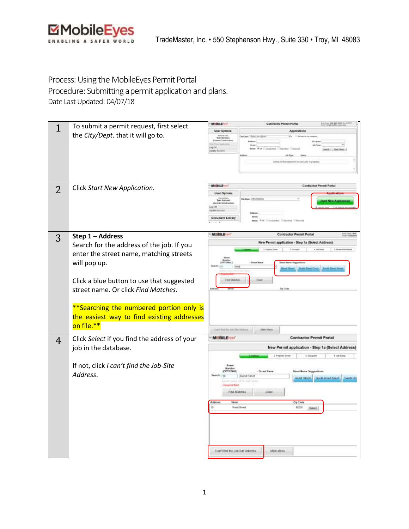

## Process: Using the MobileEyes Permit Portal

Procedure: Submitting apermit application and plans. Date Last Updated: 04/07/18

| $\mathbf{1}$   | To submit a permit request, first select     | <b>MIBILE</b>                             | <b>Contractor Pennit Portal</b>                                 | President AMC 442-9987-011       |
|----------------|----------------------------------------------|-------------------------------------------|-----------------------------------------------------------------|----------------------------------|
|                | the City/Dept. that it will go to.           | <b>User Options</b>                       | Applications                                                    |                                  |
|                |                                              | Tom De                                    | COM have been ap-<br><b>Buffeat: - Toton an cash</b>            |                                  |
|                |                                              | Lug Cd                                    |                                                                 |                                  |
|                |                                              | Update A                                  |                                                                 | <b>Jamie   Liber Films</b>       |
|                |                                              |                                           | laters a Chilline<br>tems Morry plus in pro                     |                                  |
|                |                                              |                                           |                                                                 |                                  |
|                |                                              |                                           |                                                                 |                                  |
|                |                                              |                                           |                                                                 |                                  |
| $\overline{2}$ | Click Start New Application.                 | MISBILE                                   |                                                                 | <b>Contractor Permit Partial</b> |
|                |                                              | <b>User Options</b>                       |                                                                 |                                  |
|                |                                              | <b>Torn German</b>                        | Diedlage (FA)                                                   |                                  |
|                |                                              | <b>LigiOR</b><br><b>Update Account</b>    |                                                                 |                                  |
|                |                                              | <b>Decument Librar</b>                    |                                                                 |                                  |
|                |                                              |                                           | <b>Wiledwide Wilderies William</b>                              |                                  |
|                |                                              |                                           |                                                                 |                                  |
| 3              | Step 1 - Address                             | <b>MIBILE</b>                             | <b>Contractor Permit Portal</b>                                 | <b>NETTING</b>                   |
|                | Search for the address of the job. If you    |                                           | New Permit application - Step 1a (Select Address)               |                                  |
|                |                                              |                                           |                                                                 |                                  |
|                | enter the street name, matching streets      |                                           |                                                                 |                                  |
|                | will pop up.                                 |                                           |                                                                 |                                  |
|                |                                              |                                           | att Reed Court.                                                 | <b>Email: Flowd Film</b>         |
|                | Click a blue button to use that suggested    | <b>Find Matches</b>                       |                                                                 |                                  |
|                | street name. Or click Find Matches.          |                                           |                                                                 |                                  |
|                |                                              |                                           |                                                                 |                                  |
|                |                                              |                                           |                                                                 |                                  |
|                | **Searching the numbered portion only is     |                                           |                                                                 |                                  |
|                | the easiest way to find existing addresses   |                                           |                                                                 |                                  |
|                | on file.**                                   |                                           |                                                                 |                                  |
|                |                                              | Limit Set Fe John Ste Address             | Main Marius                                                     |                                  |
| 4              | Click Select if you find the address of your | <b>MOBILE</b>                             | <b>Contractor Permit Portal</b>                                 |                                  |
|                | job in the database.                         |                                           | New Permit application - Step 1a (Select Address)               |                                  |
|                |                                              |                                           | 2 Report Date<br>3. October                                     | 4. Ad-Sate                       |
|                |                                              |                                           |                                                                 |                                  |
|                | If not, click I can't find the Job-Site      | Street<br>Noraber<br>(OPTIEINAL)          |                                                                 |                                  |
|                | Address.                                     | 10                                        | · Street Rams<br><b>Street Name Sopportform:</b><br>Read Street |                                  |
|                |                                              |                                           | Reed Skest                                                      | <b>Booth Reed Court Booth Re</b> |
|                |                                              | <b><i><u><u>Frequend</u></u></i></b> Take | Clear                                                           |                                  |
|                |                                              | Find Matches                              |                                                                 |                                  |
|                |                                              | Address<br>Street                         | Zip Ceda                                                        |                                  |
|                |                                              |                                           | <b>Read Bread</b><br>68226                                      |                                  |
|                |                                              |                                           |                                                                 |                                  |
|                |                                              |                                           |                                                                 |                                  |
|                |                                              |                                           |                                                                 |                                  |
|                |                                              |                                           |                                                                 |                                  |
|                |                                              |                                           |                                                                 |                                  |
|                |                                              | Lcon't find the Job Site Address          | Main Menia                                                      |                                  |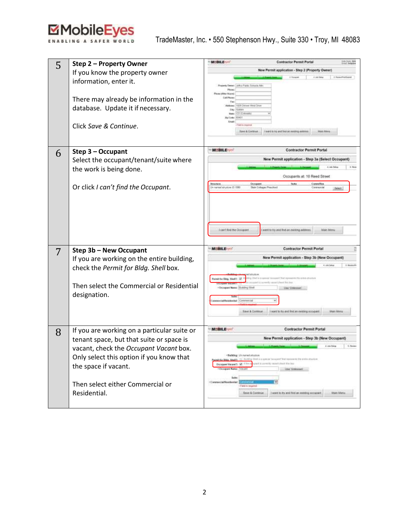

| 5 | Step 2 - Property Owner                     | <b>MUBILE</b><br>Contractor Permit Portal                                                                        |                            |  |
|---|---------------------------------------------|------------------------------------------------------------------------------------------------------------------|----------------------------|--|
|   | If you know the property owner              | New Permit application - Step 2 (Property Owner)                                                                 |                            |  |
|   | information, enter it.                      |                                                                                                                  |                            |  |
|   |                                             | rty Dweet: John Public Schucts Art<br>Pieces                                                                     |                            |  |
|   |                                             | Mar Hues<br>Cutt Places                                                                                          |                            |  |
|   | There may already be information in the     | Fax:<br>Address: 1929 Dervice Minist Drive                                                                       |                            |  |
|   | database. Update it if necessary.           | <b>Ting   Findel</b><br><b>COLLA</b><br><b>Uses</b>                                                              |                            |  |
|   |                                             | Po Cote   EDET                                                                                                   |                            |  |
|   | Click Save & Continue.                      | <b>Wind Highes</b><br><b>Rain &amp; Cortinue</b><br>I want to his and line an existing wide                      | <b>Man Henry</b>           |  |
|   |                                             |                                                                                                                  |                            |  |
|   |                                             |                                                                                                                  |                            |  |
| 6 | Step 3 - Occupant                           | <b>MIBILE</b><br><b>Contractor Permit Portal</b>                                                                 |                            |  |
|   | Select the occupant/tenant/suite where      | New Permit application - Step 3a (Select Occupant)                                                               |                            |  |
|   | the work is being done.                     |                                                                                                                  | C. John Sales              |  |
|   |                                             | Occupants at: 10 Reed Street                                                                                     |                            |  |
|   | Or click I can't find the Occupant.         | <b>Suite</b><br><b>Structure</b><br><b>Decapent</b><br>In excess structure (D. 1998)<br>Skiln Collages Preschool | Conswittes<br>Convenientia |  |
|   |                                             |                                                                                                                  |                            |  |
|   |                                             |                                                                                                                  |                            |  |
|   |                                             |                                                                                                                  |                            |  |
|   |                                             |                                                                                                                  |                            |  |
|   |                                             | Exam t Kivil the Occupant<br>want to try and find an existing address                                            | Main Mesu                  |  |
|   |                                             |                                                                                                                  |                            |  |
| 7 | Step 3b - New Occupant                      | <b>MUBILE-HO</b><br><b>Contractor Permit Portal</b>                                                              |                            |  |
|   | If you are working on the entire building,  | New Permit application - Step 3b (New Occupant)                                                                  |                            |  |
|   | check the Permit for Bldg. Shell box.       |                                                                                                                  | 4.0534                     |  |
|   |                                             | Farmit for EAIL: Shelf !: 10                                                                                     |                            |  |
|   | Then select the Commercial or Residential   | of Mid-Box                                                                                                       |                            |  |
|   | designation.                                | Oniegast Name: (SUDIY) Str<br>Use Unknown                                                                        |                            |  |
|   |                                             | Cerevette                                                                                                        |                            |  |
|   |                                             | I want to be ond finitial existing occupant.<br>Save & General                                                   | Main Menia                 |  |
|   |                                             |                                                                                                                  |                            |  |
|   | If you are working on a particular suite or | <b>MUBILE-FOR</b><br><b>Contractor Permit Portal</b>                                                             |                            |  |
| 8 | tenant space, but that suite or space is    | New Permit application - Step 3b (New Occupant)                                                                  |                            |  |
|   |                                             |                                                                                                                  |                            |  |
|   | vacant, check the Occupant Vacant box.      | · Nahlang: University Mosters                                                                                    |                            |  |
|   | Only select this option if you know that    | $5.7 \times 36$<br>Decisions Vacant?: 56                                                                         |                            |  |
|   | the space if vacant.                        | Occepant Name: TV0000<br>Line Statement                                                                          |                            |  |
|   |                                             | <b>Salte</b>                                                                                                     |                            |  |
|   | Then select either Commercial or            | · Conneccial/Residential:<br>- Field is required.                                                                |                            |  |
|   | Residential.                                | <b>Sain &amp; Cardnus</b><br>I want to by and find an existing sociopant                                         | Main Meric                 |  |
|   |                                             |                                                                                                                  |                            |  |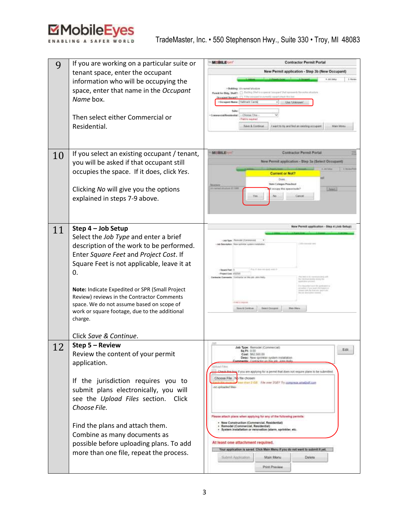

| 9  | If you are working on a particular suite or                                             | <b>MUBILE TEST</b><br><b>Contractor Permit Portal</b>                                                                         |
|----|-----------------------------------------------------------------------------------------|-------------------------------------------------------------------------------------------------------------------------------|
|    | tenant space, enter the occupant                                                        | New Permit application - Step 3b (New Occupant)                                                                               |
|    | information who will be occupying the                                                   | 4.48.544<br>3 9 8 9 9 9 1                                                                                                     |
|    | space, enter that name in the Occupant                                                  | + Boltding: University should<br>Parent for Eldy, Shukh; [ ] Entiting Shall is a special image of that success to a collected |
|    | Name box.                                                                               | Ocelebrat Vacant II 1 Review<br>Googant Mone: Hallmark Carda<br><b>Chie: University</b>                                       |
|    |                                                                                         | Solve                                                                                                                         |
|    | Then select either Commercial or                                                        | · Contemporal Metaldrophe<br>-Cleans Ora<br>- Pattite membed                                                                  |
|    | Residential.                                                                            | Save & Gunleum<br>I want to by and but an existing occupant.<br>Main Menu                                                     |
|    |                                                                                         |                                                                                                                               |
|    |                                                                                         |                                                                                                                               |
|    | If you select an existing occupant / tenant,                                            | M:BILE<br>Contractor Fermit Fortal                                                                                            |
| 10 | you will be asked if that occupant still                                                | New Permit application - Step 3a (Select Occupant)                                                                            |
|    | occupies the space. If it does, click Yes.                                              |                                                                                                                               |
|    |                                                                                         | <b>Current or Not?</b><br><b>Does</b>                                                                                         |
|    | Clicking No will give you the options                                                   | Statu Cutarans Preschout<br><b>UTUAL 21 1985</b><br>certainy this researched<br><b>June</b>                                   |
|    | explained in steps 7-9 above.                                                           |                                                                                                                               |
|    |                                                                                         |                                                                                                                               |
|    |                                                                                         |                                                                                                                               |
|    |                                                                                         |                                                                                                                               |
| 11 | Step 4 - Job Setup                                                                      | New Permit application - Step 4 (Jets Setup)                                                                                  |
|    | Select the Job Type and enter a brief                                                   | <b>Top:</b> Remote Corp.                                                                                                      |
|    | description of the work to be performed.                                                | Status Antique but Autoback charge                                                                                            |
|    | Enter Square Feet and Project Cost. If                                                  |                                                                                                                               |
|    | Square Feet is not applicable, leave it at                                              | Ass E man an applicant                                                                                                        |
|    | 0.                                                                                      | <b>Bases Feet</b><br>Phoevi Cost, 152020<br>Contingency are was side, Judice Mark-                                            |
|    |                                                                                         |                                                                                                                               |
|    | Note: Indicate Expedited or SPR (Small Project                                          |                                                                                                                               |
|    | Review) reviews in the Contractor Comments<br>space. We do not assume based on scope of | <b>AND THE PRODUCTS</b>                                                                                                       |
|    | work or square footage, due to the additional                                           | <b>Tays &amp; Canitse</b><br><b>Seen Orcupes</b><br><b>High Miers</b>                                                         |
|    | charge.                                                                                 |                                                                                                                               |
|    |                                                                                         |                                                                                                                               |
|    | Click Save & Continue.                                                                  |                                                                                                                               |
| 12 | Step 5 - Review                                                                         | Job Type: Remodel (Cammercial)<br>Edit                                                                                        |
|    | Review the content of your permit                                                       | 5q Ft: 0.00<br>Cost: \$82,500.00<br>Deec: New Striveler system installation                                                   |
|    | application.                                                                            | Comments: Contractor on this vit: John Kei<br>intoler Films                                                                   |
|    |                                                                                         | of it you are applying for a permit that does not require plans to be submitted.                                              |
|    | If the jurisdiction requires you to                                                     | Choose File   No file chooen<br>these phone 2 (GB) Fibe saver 2020? Thy companies appelled curry                              |
|    | submit plans electronically, you will                                                   | -no aphasted fina-                                                                                                            |
|    | see the Upload Files section. Click                                                     |                                                                                                                               |
|    | Choose File.                                                                            |                                                                                                                               |
|    |                                                                                         | Please attach plans when applying for any of the following permits:                                                           |
|    | Find the plans and attach them.                                                         | - New Construction (Commercial, Residential)<br>- Remodel (Commercial, Residential)                                           |
|    | Combine as many documents as                                                            | - System installation or renovation (alarm, sprinkler, etc.                                                                   |
|    | possible before uploading plans. To add                                                 | At least one attachment required.                                                                                             |
|    | more than one file, repeat the process.                                                 | Your application is saved. Click Main Menu if you do not want to submit it yet.                                               |
|    |                                                                                         | Submit Application<br>Main Monu<br>Deleta                                                                                     |
|    |                                                                                         | Print Preview                                                                                                                 |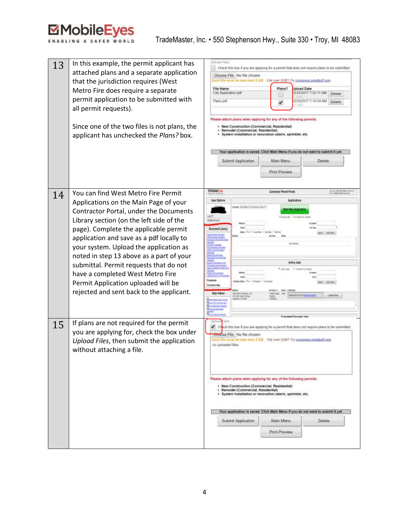## MobileEyes

| 13 | In this example, the permit applicant has<br>attached plans and a separate application<br>that the jurisdiction requires (West<br>Metro Fire does require a separate<br>permit application to be submitted with<br>all permit requests).<br>Since one of the two files is not plans, the<br>applicant has unchecked the Plans? box.                                                                                                                                                                            | <b>Usklad Piles</b><br>Check this box if you are applying for a permit that does not require plans to be submitted.<br>Choose File No file chosen<br>ach file nous be less man 2 GBI File over 2GB? Try compress small all com-<br>File Name<br>Plans?<br><b>Joload Date</b><br>City Application pdf<br>(2/25/2017 7:22:11 AM)<br>Delete<br>Plans.pdf<br>2/25/2017 7:19:34 AM<br><b>Delete</b><br>Please attach plans when applying for any of the following permits:<br>· New Construction (Commercial, Residential)<br>· Remodel (Commercial, Residential)<br>· System installation or renovation (alarm, sprinkler, etc.<br>Your application is saved. Click Main Menu if you do not want to submit it yet.<br>Submit Application<br>Main Menu<br>Delete<br>Print Preview |
|----|----------------------------------------------------------------------------------------------------------------------------------------------------------------------------------------------------------------------------------------------------------------------------------------------------------------------------------------------------------------------------------------------------------------------------------------------------------------------------------------------------------------|------------------------------------------------------------------------------------------------------------------------------------------------------------------------------------------------------------------------------------------------------------------------------------------------------------------------------------------------------------------------------------------------------------------------------------------------------------------------------------------------------------------------------------------------------------------------------------------------------------------------------------------------------------------------------------------------------------------------------------------------------------------------------|
| 14 | You can find West Metro Fire Permit<br>Applications on the Main Page of your<br>Contractor Portal, under the Documents<br>Library section (on the left side of the<br>page). Complete the applicable permit<br>application and save as a pdf locally to<br>your system. Upload the application as<br>noted in step 13 above as a part of your<br>submittal. Permit requests that do not<br>have a completed West Metro Fire<br>Permit Application uploaded will be<br>rejected and sent back to the applicant. | BMobile (m)<br>Inclus 94444815 to tal<br><b>Contractor Permit Portal</b><br>Applications<br><b>User Options</b><br>Calcificate: "Unud Baltic Fire Prima Ann Statistic<br>t la propins<br>flashows invitation at<br>Mr Atmos<br>Document Library<br><b>MA PA DISANNE DANNE DAVA</b><br>$-35.00$<br>All Tore<br><b>CONTRACTOR</b><br>alliens i<br>1991<br><b>JEVISETAK</b><br>Antonio (1971-19)<br>Second London<br>计加加法<br>Active Jobs<br>offer five Article<br><u>to the product</u><br>Rather Editoryms<br><b>Litters</b><br><b>CAR HOME AND</b><br><b>Procedures</b><br><b>Idaho Kda: R.H. Tibholad Ticknes</b><br>Denotectur 1440<br><b>Heip Wideos</b><br><b>Wirlliams and</b><br>upusi In United Estates<br>doct Herr<br><b>C Suit the</b>                              |
| 15 | If plans are not required for the permit<br>you are applying for, check the box under<br>Upload Files, then submit the application<br>without attaching a file.                                                                                                                                                                                                                                                                                                                                                | <b>Colting Files</b><br>eck this box if you are applying for a permit that does not require plans to be submitted.<br>moose File No file chosen<br>Each file must be has man 2 Gill File over 2GB? Try compress smalled com<br>no uploaded files.<br>Please attach plans when applying for any of the following permits:<br>· New Construction (Commercial, Residential)<br>· Remodel (Commercial, Residential)<br>· System installation or renovation (alarm, sprinkler, etc.<br>Your application is saved. Click Main Menu if you do not want to submit it yet.<br>Main Menu<br>Delote<br>Submit Application<br>Print Preview                                                                                                                                              |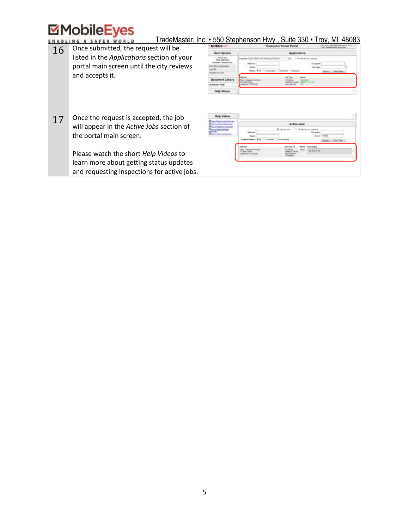## **EMobileEyes**

| <b>Contractor Perrent Portal</b><br>Once submitted, the request will be<br>16<br><b>User Options</b><br>Applications<br>listed in the Applications section of your<br>Clientes://Wed.Meery Fire Prescribed Distro<br>All-Jose Roring Lasguez<br>Outpaper<br>portal main screen until the city reviews<br>AA Vess<br>Citizenski (<br>and accepts it.<br><b>Document Library</b><br><b>Built Listeware Preside</b><br>antractor Hale<br>Hielp Vidwow<br><b>Help Videos</b><br>Once the request is accepted, the job<br>17<br><b>Active Jobs</b> |                                           | TradeMaster, Inc. • 550 Stephenson Hwy., Suite 330 • Troy, MI 48083 |
|-----------------------------------------------------------------------------------------------------------------------------------------------------------------------------------------------------------------------------------------------------------------------------------------------------------------------------------------------------------------------------------------------------------------------------------------------------------------------------------------------------------------------------------------------|-------------------------------------------|---------------------------------------------------------------------|
|                                                                                                                                                                                                                                                                                                                                                                                                                                                                                                                                               |                                           |                                                                     |
|                                                                                                                                                                                                                                                                                                                                                                                                                                                                                                                                               |                                           |                                                                     |
|                                                                                                                                                                                                                                                                                                                                                                                                                                                                                                                                               |                                           | Search: / : 3 State Primer                                          |
|                                                                                                                                                                                                                                                                                                                                                                                                                                                                                                                                               |                                           |                                                                     |
|                                                                                                                                                                                                                                                                                                                                                                                                                                                                                                                                               |                                           |                                                                     |
| 1. 108 Bobis Str. Inc. Jorgans<br>Additional<br>the portal main screen.<br><b>Shot by Carriel as Sympathy</b><br>Maja Colleger (Feb 28)<br>6 Bachfield<br>Please watch the short Help Videos to<br><b>PHYSICAL AND REGIST</b><br>learn more about getting status updates<br>and requesting inspections for active jobs.                                                                                                                                                                                                                       | will appear in the Active Jobs section of | <b>FS00</b><br>1 Ullisa Files<br><b>Search</b>                      |